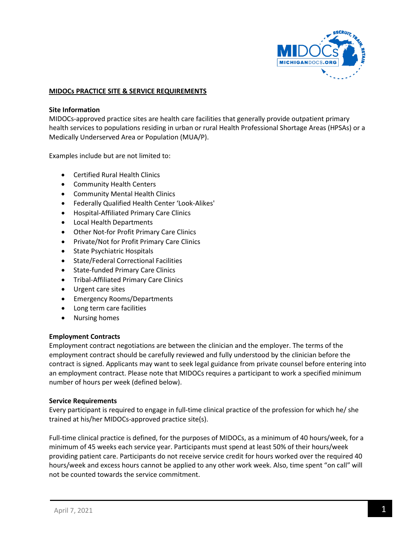

#### **MIDOCs PRACTICE SITE & SERVICE REQUIREMENTS**

#### **Site Information**

MIDOCs-approved practice sites are health care facilities that generally provide outpatient primary health services to populations residing in urban or rural Health Professional Shortage Areas (HPSAs) or a Medically Underserved Area or Population (MUA/P).

Examples include but are not limited to:

- Certified Rural Health Clinics
- Community Health Centers
- Community Mental Health Clinics
- Federally Qualified Health Center 'Look-Alikes'
- Hospital-Affiliated Primary Care Clinics
- Local Health Departments
- Other Not-for Profit Primary Care Clinics
- Private/Not for Profit Primary Care Clinics
- State Psychiatric Hospitals
- State/Federal Correctional Facilities
- State-funded Primary Care Clinics
- Tribal-Affiliated Primary Care Clinics
- Urgent care sites
- Emergency Rooms/Departments
- Long term care facilities
- Nursing homes

#### **Employment Contracts**

Employment contract negotiations are between the clinician and the employer. The terms of the employment contract should be carefully reviewed and fully understood by the clinician before the contract is signed. Applicants may want to seek legal guidance from private counsel before entering into an employment contract. Please note that MIDOCs requires a participant to work a specified minimum number of hours per week (defined below).

#### **Service Requirements**

Every participant is required to engage in full-time clinical practice of the profession for which he/ she trained at his/her MIDOCs-approved practice site(s).

Full-time clinical practice is defined, for the purposes of MIDOCs, as a minimum of 40 hours/week, for a minimum of 45 weeks each service year. Participants must spend at least 50% of their hours/week providing patient care. Participants do not receive service credit for hours worked over the required 40 hours/week and excess hours cannot be applied to any other work week. Also, time spent "on call" will not be counted towards the service commitment.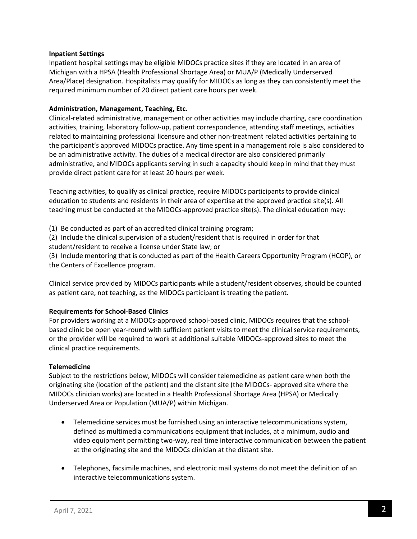### **Inpatient Settings**

Inpatient hospital settings may be eligible MIDOCs practice sites if they are located in an area of Michigan with a HPSA (Health Professional Shortage Area) or MUA/P (Medically Underserved Area/Place) designation. Hospitalists may qualify for MIDOCs as long as they can consistently meet the required minimum number of 20 direct patient care hours per week.

## **Administration, Management, Teaching, Etc.**

Clinical-related administrative, management or other activities may include charting, care coordination activities, training, laboratory follow-up, patient correspondence, attending staff meetings, activities related to maintaining professional licensure and other non-treatment related activities pertaining to the participant's approved MIDOCs practice. Any time spent in a management role is also considered to be an administrative activity. The duties of a medical director are also considered primarily administrative, and MIDOCs applicants serving in such a capacity should keep in mind that they must provide direct patient care for at least 20 hours per week.

Teaching activities, to qualify as clinical practice, require MIDOCs participants to provide clinical education to students and residents in their area of expertise at the approved practice site(s). All teaching must be conducted at the MIDOCs-approved practice site(s). The clinical education may:

(1) Be conducted as part of an accredited clinical training program;

(2) Include the clinical supervision of a student/resident that is required in order for that student/resident to receive a license under State law; or

(3) Include mentoring that is conducted as part of the Health Careers Opportunity Program (HCOP), or the Centers of Excellence program.

Clinical service provided by MIDOCs participants while a student/resident observes, should be counted as patient care, not teaching, as the MIDOCs participant is treating the patient.

# **Requirements for School-Based Clinics**

For providers working at a MIDOCs-approved school-based clinic, MIDOCs requires that the schoolbased clinic be open year-round with sufficient patient visits to meet the clinical service requirements, or the provider will be required to work at additional suitable MIDOCs-approved sites to meet the clinical practice requirements.

#### **Telemedicine**

Subject to the restrictions below, MIDOCs will consider telemedicine as patient care when both the originating site (location of the patient) and the distant site (the MIDOCs- approved site where the MIDOCs clinician works) are located in a Health Professional Shortage Area (HPSA) or Medically Underserved Area or Population (MUA/P) within Michigan.

- Telemedicine services must be furnished using an interactive telecommunications system, defined as multimedia communications equipment that includes, at a minimum, audio and video equipment permitting two-way, real time interactive communication between the patient at the originating site and the MIDOCs clinician at the distant site.
- Telephones, facsimile machines, and electronic mail systems do not meet the definition of an interactive telecommunications system.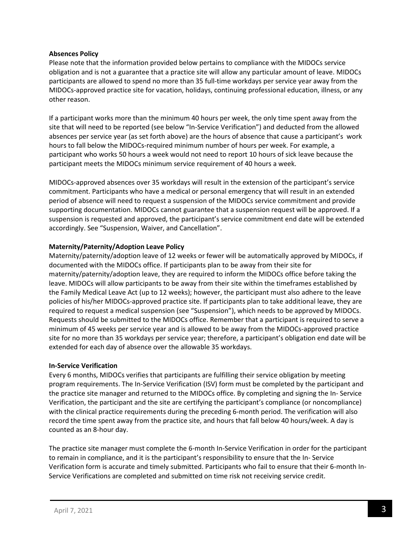## **Absences Policy**

Please note that the information provided below pertains to compliance with the MIDOCs service obligation and is not a guarantee that a practice site will allow any particular amount of leave. MIDOCs participants are allowed to spend no more than 35 full-time workdays per service year away from the MIDOCs-approved practice site for vacation, holidays, continuing professional education, illness, or any other reason.

If a participant works more than the minimum 40 hours per week, the only time spent away from the site that will need to be reported (see below "In-Service Verification") and deducted from the allowed absences per service year (as set forth above) are the hours of absence that cause a participant's work hours to fall below the MIDOCs-required minimum number of hours per week. For example, a participant who works 50 hours a week would not need to report 10 hours of sick leave because the participant meets the MIDOCs minimum service requirement of 40 hours a week.

MIDOCs-approved absences over 35 workdays will result in the extension of the participant's service commitment. Participants who have a medical or personal emergency that will result in an extended period of absence will need to request a suspension of the MIDOCs service commitment and provide supporting documentation. MIDOCs cannot guarantee that a suspension request will be approved. If a suspension is requested and approved, the participant's service commitment end date will be extended accordingly. See "Suspension, Waiver, and Cancellation".

## **Maternity/Paternity/Adoption Leave Policy**

Maternity/paternity/adoption leave of 12 weeks or fewer will be automatically approved by MIDOCs, if documented with the MIDOCs office. If participants plan to be away from their site for maternity/paternity/adoption leave, they are required to inform the MIDOCs office before taking the leave. MIDOCs will allow participants to be away from their site within the timeframes established by the Family Medical Leave Act (up to 12 weeks); however, the participant must also adhere to the leave policies of his/her MIDOCs-approved practice site. If participants plan to take additional leave, they are required to request a medical suspension (see "Suspension"), which needs to be approved by MIDOCs. Requests should be submitted to the MIDOCs office. Remember that a participant is required to serve a minimum of 45 weeks per service year and is allowed to be away from the MIDOCs-approved practice site for no more than 35 workdays per service year; therefore, a participant's obligation end date will be extended for each day of absence over the allowable 35 workdays.

#### **In-Service Verification**

Every 6 months, MIDOCs verifies that participants are fulfilling their service obligation by meeting program requirements. The In-Service Verification (ISV) form must be completed by the participant and the practice site manager and returned to the MIDOCs office. By completing and signing the In- Service Verification, the participant and the site are certifying the participant's compliance (or noncompliance) with the clinical practice requirements during the preceding 6-month period. The verification will also record the time spent away from the practice site, and hours that fall below 40 hours/week. A day is counted as an 8-hour day.

The practice site manager must complete the 6-month In-Service Verification in order for the participant to remain in compliance, and it is the participant's responsibility to ensure that the In- Service Verification form is accurate and timely submitted. Participants who fail to ensure that their 6-month In-Service Verifications are completed and submitted on time risk not receiving service credit.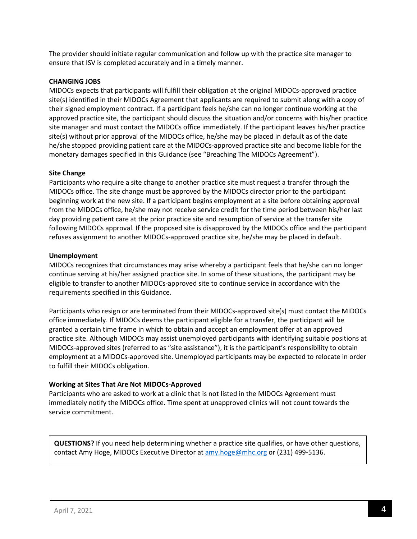The provider should initiate regular communication and follow up with the practice site manager to ensure that ISV is completed accurately and in a timely manner.

### **CHANGING JOBS**

MIDOCs expects that participants will fulfill their obligation at the original MIDOCs-approved practice site(s) identified in their MIDOCs Agreement that applicants are required to submit along with a copy of their signed employment contract. If a participant feels he/she can no longer continue working at the approved practice site, the participant should discuss the situation and/or concerns with his/her practice site manager and must contact the MIDOCs office immediately. If the participant leaves his/her practice site(s) without prior approval of the MIDOCs office, he/she may be placed in default as of the date he/she stopped providing patient care at the MIDOCs-approved practice site and become liable for the monetary damages specified in this Guidance (see "Breaching The MIDOCs Agreement").

## **Site Change**

Participants who require a site change to another practice site must request a transfer through the MIDOCs office. The site change must be approved by the MIDOCs director prior to the participant beginning work at the new site. If a participant begins employment at a site before obtaining approval from the MIDOCs office, he/she may not receive service credit for the time period between his/her last day providing patient care at the prior practice site and resumption of service at the transfer site following MIDOCs approval. If the proposed site is disapproved by the MIDOCs office and the participant refuses assignment to another MIDOCs-approved practice site, he/she may be placed in default.

## **Unemployment**

MIDOCs recognizes that circumstances may arise whereby a participant feels that he/she can no longer continue serving at his/her assigned practice site. In some of these situations, the participant may be eligible to transfer to another MIDOCs-approved site to continue service in accordance with the requirements specified in this Guidance.

Participants who resign or are terminated from their MIDOCs-approved site(s) must contact the MIDOCs office immediately. If MIDOCs deems the participant eligible for a transfer, the participant will be granted a certain time frame in which to obtain and accept an employment offer at an approved practice site. Although MIDOCs may assist unemployed participants with identifying suitable positions at MIDOCs-approved sites (referred to as "site assistance"), it is the participant's responsibility to obtain employment at a MIDOCs-approved site. Unemployed participants may be expected to relocate in order to fulfill their MIDOCs obligation.

# **Working at Sites That Are Not MIDOCs-Approved**

Participants who are asked to work at a clinic that is not listed in the MIDOCs Agreement must immediately notify the MIDOCs office. Time spent at unapproved clinics will not count towards the service commitment.

**QUESTIONS?** If you need help determining whether a practice site qualifies, or have other questions, contact Amy Hoge, MIDOCs Executive Director at [amy.hoge@mhc.org](mailto:amy.hoge@mhc.org) or (231) 499-5136.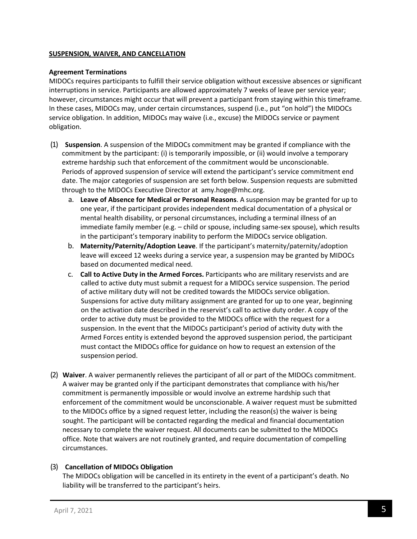### **SUSPENSION, WAIVER, AND CANCELLATION**

### **Agreement Terminations**

MIDOCs requires participants to fulfill their service obligation without excessive absences or significant interruptions in service. Participants are allowed approximately 7 weeks of leave per service year; however, circumstances might occur that will prevent a participant from staying within this timeframe. In these cases, MIDOCs may, under certain circumstances, suspend (i.e., put "on hold") the MIDOCs service obligation. In addition, MIDOCs may waive (i.e., excuse) the MIDOCs service or payment obligation.

- (1) **Suspension**. A suspension of the MIDOCs commitment may be granted if compliance with the commitment by the participant: (i) is temporarily impossible, or (ii) would involve a temporary extreme hardship such that enforcement of the commitment would be unconscionable. Periods of approved suspension of service will extend the participant's service commitment end date. The major categories of suspension are set forth below. Suspension requests are submitted through to the MIDOCs Executive Director at amy.hoge@mhc.org.
	- a. **Leave of Absence for Medical or Personal Reasons**. A suspension may be granted for up to one year, if the participant provides independent medical documentation of a physical or mental health disability, or personal circumstances, including a terminal illness of an immediate family member (e.g. – child or spouse, including same-sex spouse), which results in the participant's temporary inability to perform the MIDOCs service obligation.
	- b. **Maternity/Paternity/Adoption Leave**. If the participant's maternity/paternity/adoption leave will exceed 12 weeks during a service year, a suspension may be granted by MIDOCs based on documented medical need.
	- c. **Call to Active Duty in the Armed Forces.** Participants who are military reservists and are called to active duty must submit a request for a MIDOCs service suspension. The period of active military duty will not be credited towards the MIDOCs service obligation. Suspensions for active duty military assignment are granted for up to one year, beginning on the activation date described in the reservist's call to active duty order. A copy of the order to active duty must be provided to the MIDOCs office with the request for a suspension. In the event that the MIDOCs participant's period of activity duty with the Armed Forces entity is extended beyond the approved suspension period, the participant must contact the MIDOCs office for guidance on how to request an extension of the suspension period.
- (2) **Waiver**. A waiver permanently relieves the participant of all or part of the MIDOCs commitment. A waiver may be granted only if the participant demonstrates that compliance with his/her commitment is permanently impossible or would involve an extreme hardship such that enforcement of the commitment would be unconscionable. A waiver request must be submitted to the MIDOCs office by a signed request letter, including the reason(s) the waiver is being sought. The participant will be contacted regarding the medical and financial documentation necessary to complete the waiver request. All documents can be submitted to the MIDOCs office. Note that waivers are not routinely granted, and require documentation of compelling circumstances.

# (3) **Cancellation of MIDOCs Obligation**

The MIDOCs obligation will be cancelled in its entirety in the event of a participant's death. No liability will be transferred to the participant's heirs.